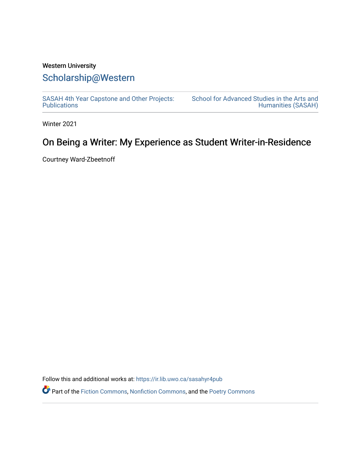# Western University [Scholarship@Western](https://ir.lib.uwo.ca/)

[SASAH 4th Year Capstone and Other Projects:](https://ir.lib.uwo.ca/sasahyr4pub)  **Publications** 

[School for Advanced Studies in the Arts and](https://ir.lib.uwo.ca/sasah)  [Humanities \(SASAH\)](https://ir.lib.uwo.ca/sasah) 

Winter 2021

# On Being a Writer: My Experience as Student Writer-in-Residence

Courtney Ward-Zbeetnoff

Follow this and additional works at: [https://ir.lib.uwo.ca/sasahyr4pub](https://ir.lib.uwo.ca/sasahyr4pub?utm_source=ir.lib.uwo.ca%2Fsasahyr4pub%2F31&utm_medium=PDF&utm_campaign=PDFCoverPages) 

Part of the [Fiction Commons,](http://network.bepress.com/hgg/discipline/1151?utm_source=ir.lib.uwo.ca%2Fsasahyr4pub%2F31&utm_medium=PDF&utm_campaign=PDFCoverPages) [Nonfiction Commons](http://network.bepress.com/hgg/discipline/1152?utm_source=ir.lib.uwo.ca%2Fsasahyr4pub%2F31&utm_medium=PDF&utm_campaign=PDFCoverPages), and the [Poetry Commons](http://network.bepress.com/hgg/discipline/1153?utm_source=ir.lib.uwo.ca%2Fsasahyr4pub%2F31&utm_medium=PDF&utm_campaign=PDFCoverPages)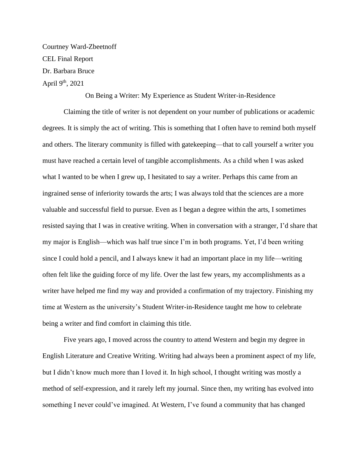Courtney Ward-Zbeetnoff CEL Final Report Dr. Barbara Bruce April 9<sup>th</sup>, 2021

#### On Being a Writer: My Experience as Student Writer-in-Residence

Claiming the title of writer is not dependent on your number of publications or academic degrees. It is simply the act of writing. This is something that I often have to remind both myself and others. The literary community is filled with gatekeeping—that to call yourself a writer you must have reached a certain level of tangible accomplishments. As a child when I was asked what I wanted to be when I grew up, I hesitated to say a writer. Perhaps this came from an ingrained sense of inferiority towards the arts; I was always told that the sciences are a more valuable and successful field to pursue. Even as I began a degree within the arts, I sometimes resisted saying that I was in creative writing. When in conversation with a stranger, I'd share that my major is English—which was half true since I'm in both programs. Yet, I'd been writing since I could hold a pencil, and I always knew it had an important place in my life—writing often felt like the guiding force of my life. Over the last few years, my accomplishments as a writer have helped me find my way and provided a confirmation of my trajectory. Finishing my time at Western as the university's Student Writer-in-Residence taught me how to celebrate being a writer and find comfort in claiming this title.

Five years ago, I moved across the country to attend Western and begin my degree in English Literature and Creative Writing. Writing had always been a prominent aspect of my life, but I didn't know much more than I loved it. In high school, I thought writing was mostly a method of self-expression, and it rarely left my journal. Since then, my writing has evolved into something I never could've imagined. At Western, I've found a community that has changed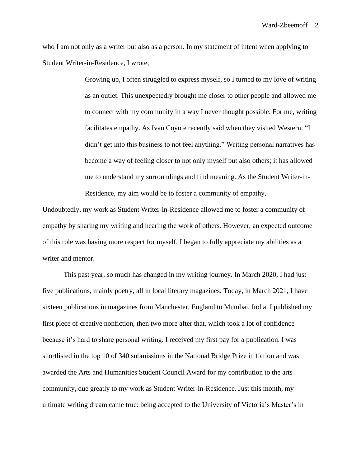who I am not only as a writer but also as a person. In my statement of intent when applying to Student Writer-in-Residence, I wrote,

> Growing up, I often struggled to express myself, so I turned to my love of writing as an outlet. This unexpectedly brought me closer to other people and allowed me to connect with my community in a way I never thought possible. For me, writing facilitates empathy. As Ivan Coyote recently said when they visited Western, "I didn't get into this business to not feel anything." Writing personal narratives has become a way of feeling closer to not only myself but also others; it has allowed me to understand my surroundings and find meaning. As the Student Writer-in-Residence, my aim would be to foster a community of empathy.

Undoubtedly, my work as Student Writer-in-Residence allowed me to foster a community of empathy by sharing my writing and hearing the work of others. However, an expected outcome of this role was having more respect for myself. I began to fully appreciate my abilities as a writer and mentor.

This past year, so much has changed in my writing journey. In March 2020, I had just five publications, mainly poetry, all in local literary magazines. Today, in March 2021, I have sixteen publications in magazines from Manchester, England to Mumbai, India. I published my first piece of creative nonfiction, then two more after that, which took a lot of confidence because it's hard to share personal writing. I received my first pay for a publication. I was shortlisted in the top 10 of 340 submissions in the National Bridge Prize in fiction and was awarded the Arts and Humanities Student Council Award for my contribution to the arts community, due greatly to my work as Student Writer-in-Residence. Just this month, my ultimate writing dream came true: being accepted to the University of Victoria's Master's in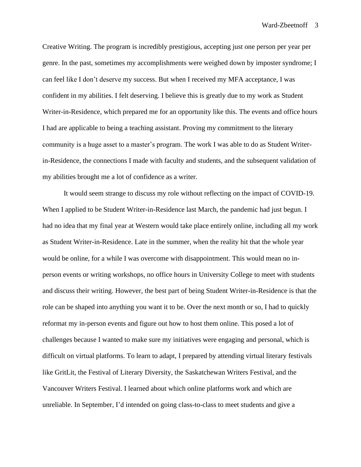Creative Writing. The program is incredibly prestigious, accepting just one person per year per genre. In the past, sometimes my accomplishments were weighed down by imposter syndrome; I can feel like I don't deserve my success. But when I received my MFA acceptance, I was confident in my abilities. I felt deserving. I believe this is greatly due to my work as Student Writer-in-Residence, which prepared me for an opportunity like this. The events and office hours I had are applicable to being a teaching assistant. Proving my commitment to the literary community is a huge asset to a master's program. The work I was able to do as Student Writerin-Residence, the connections I made with faculty and students, and the subsequent validation of my abilities brought me a lot of confidence as a writer.

It would seem strange to discuss my role without reflecting on the impact of COVID-19. When I applied to be Student Writer-in-Residence last March, the pandemic had just begun. I had no idea that my final year at Western would take place entirely online, including all my work as Student Writer-in-Residence. Late in the summer, when the reality hit that the whole year would be online, for a while I was overcome with disappointment. This would mean no inperson events or writing workshops, no office hours in University College to meet with students and discuss their writing. However, the best part of being Student Writer-in-Residence is that the role can be shaped into anything you want it to be. Over the next month or so, I had to quickly reformat my in-person events and figure out how to host them online. This posed a lot of challenges because I wanted to make sure my initiatives were engaging and personal, which is difficult on virtual platforms. To learn to adapt, I prepared by attending virtual literary festivals like GritLit, the Festival of Literary Diversity, the Saskatchewan Writers Festival, and the Vancouver Writers Festival. I learned about which online platforms work and which are unreliable. In September, I'd intended on going class-to-class to meet students and give a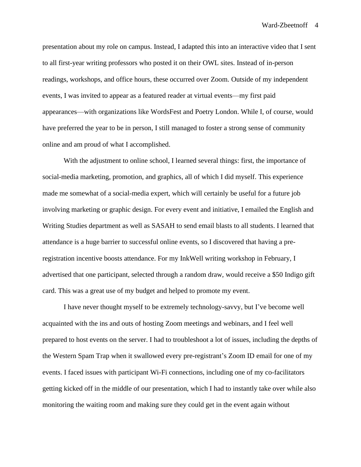presentation about my role on campus. Instead, I adapted this into an interactive video that I sent to all first-year writing professors who posted it on their OWL sites. Instead of in-person readings, workshops, and office hours, these occurred over Zoom. Outside of my independent events, I was invited to appear as a featured reader at virtual events—my first paid appearances—with organizations like WordsFest and Poetry London. While I, of course, would have preferred the year to be in person, I still managed to foster a strong sense of community online and am proud of what I accomplished.

With the adjustment to online school, I learned several things: first, the importance of social-media marketing, promotion, and graphics, all of which I did myself. This experience made me somewhat of a social-media expert, which will certainly be useful for a future job involving marketing or graphic design. For every event and initiative, I emailed the English and Writing Studies department as well as SASAH to send email blasts to all students. I learned that attendance is a huge barrier to successful online events, so I discovered that having a preregistration incentive boosts attendance. For my InkWell writing workshop in February, I advertised that one participant, selected through a random draw, would receive a \$50 Indigo gift card. This was a great use of my budget and helped to promote my event.

I have never thought myself to be extremely technology-savvy, but I've become well acquainted with the ins and outs of hosting Zoom meetings and webinars, and I feel well prepared to host events on the server. I had to troubleshoot a lot of issues, including the depths of the Western Spam Trap when it swallowed every pre-registrant's Zoom ID email for one of my events. I faced issues with participant Wi-Fi connections, including one of my co-facilitators getting kicked off in the middle of our presentation, which I had to instantly take over while also monitoring the waiting room and making sure they could get in the event again without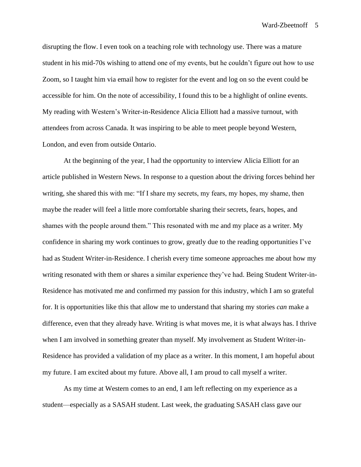disrupting the flow. I even took on a teaching role with technology use. There was a mature student in his mid-70s wishing to attend one of my events, but he couldn't figure out how to use Zoom, so I taught him via email how to register for the event and log on so the event could be accessible for him. On the note of accessibility, I found this to be a highlight of online events. My reading with Western's Writer-in-Residence Alicia Elliott had a massive turnout, with attendees from across Canada. It was inspiring to be able to meet people beyond Western, London, and even from outside Ontario.

At the beginning of the year, I had the opportunity to interview Alicia Elliott for an article published in Western News. In response to a question about the driving forces behind her writing, she shared this with me: "If I share my secrets, my fears, my hopes, my shame, then maybe the reader will feel a little more comfortable sharing their secrets, fears, hopes, and shames with the people around them." This resonated with me and my place as a writer. My confidence in sharing my work continues to grow, greatly due to the reading opportunities I've had as Student Writer-in-Residence. I cherish every time someone approaches me about how my writing resonated with them or shares a similar experience they've had. Being Student Writer-in-Residence has motivated me and confirmed my passion for this industry, which I am so grateful for. It is opportunities like this that allow me to understand that sharing my stories *can* make a difference, even that they already have. Writing is what moves me, it is what always has. I thrive when I am involved in something greater than myself. My involvement as Student Writer-in-Residence has provided a validation of my place as a writer. In this moment, I am hopeful about my future. I am excited about my future. Above all, I am proud to call myself a writer.

As my time at Western comes to an end, I am left reflecting on my experience as a student—especially as a SASAH student. Last week, the graduating SASAH class gave our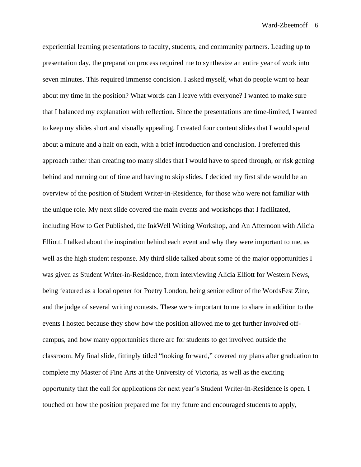experiential learning presentations to faculty, students, and community partners. Leading up to presentation day, the preparation process required me to synthesize an entire year of work into seven minutes. This required immense concision. I asked myself, what do people want to hear about my time in the position? What words can I leave with everyone? I wanted to make sure that I balanced my explanation with reflection. Since the presentations are time-limited, I wanted to keep my slides short and visually appealing. I created four content slides that I would spend about a minute and a half on each, with a brief introduction and conclusion. I preferred this approach rather than creating too many slides that I would have to speed through, or risk getting behind and running out of time and having to skip slides. I decided my first slide would be an overview of the position of Student Writer-in-Residence, for those who were not familiar with the unique role. My next slide covered the main events and workshops that I facilitated, including How to Get Published, the InkWell Writing Workshop, and An Afternoon with Alicia Elliott. I talked about the inspiration behind each event and why they were important to me, as well as the high student response. My third slide talked about some of the major opportunities I was given as Student Writer-in-Residence, from interviewing Alicia Elliott for Western News, being featured as a local opener for Poetry London, being senior editor of the WordsFest Zine, and the judge of several writing contests. These were important to me to share in addition to the events I hosted because they show how the position allowed me to get further involved offcampus, and how many opportunities there are for students to get involved outside the classroom. My final slide, fittingly titled "looking forward," covered my plans after graduation to complete my Master of Fine Arts at the University of Victoria, as well as the exciting opportunity that the call for applications for next year's Student Writer-in-Residence is open. I touched on how the position prepared me for my future and encouraged students to apply,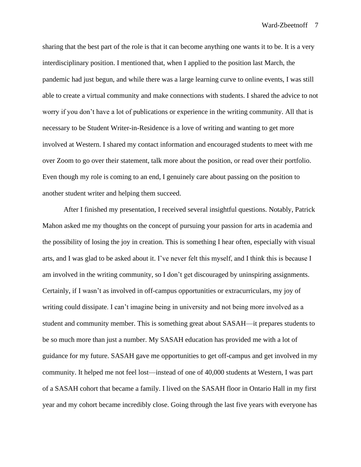sharing that the best part of the role is that it can become anything one wants it to be. It is a very interdisciplinary position. I mentioned that, when I applied to the position last March, the pandemic had just begun, and while there was a large learning curve to online events, I was still able to create a virtual community and make connections with students. I shared the advice to not worry if you don't have a lot of publications or experience in the writing community. All that is necessary to be Student Writer-in-Residence is a love of writing and wanting to get more involved at Western. I shared my contact information and encouraged students to meet with me over Zoom to go over their statement, talk more about the position, or read over their portfolio. Even though my role is coming to an end, I genuinely care about passing on the position to another student writer and helping them succeed.

After I finished my presentation, I received several insightful questions. Notably, Patrick Mahon asked me my thoughts on the concept of pursuing your passion for arts in academia and the possibility of losing the joy in creation. This is something I hear often, especially with visual arts, and I was glad to be asked about it. I've never felt this myself, and I think this is because I am involved in the writing community, so I don't get discouraged by uninspiring assignments. Certainly, if I wasn't as involved in off-campus opportunities or extracurriculars, my joy of writing could dissipate. I can't imagine being in university and not being more involved as a student and community member. This is something great about SASAH—it prepares students to be so much more than just a number. My SASAH education has provided me with a lot of guidance for my future. SASAH gave me opportunities to get off-campus and get involved in my community. It helped me not feel lost—instead of one of 40,000 students at Western, I was part of a SASAH cohort that became a family. I lived on the SASAH floor in Ontario Hall in my first year and my cohort became incredibly close. Going through the last five years with everyone has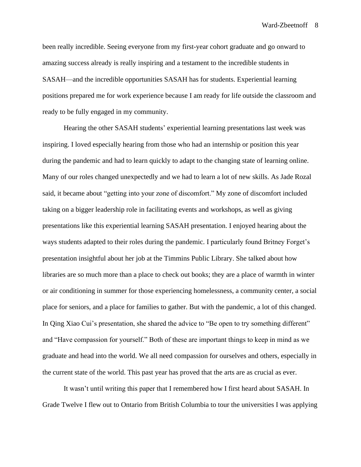been really incredible. Seeing everyone from my first-year cohort graduate and go onward to amazing success already is really inspiring and a testament to the incredible students in SASAH—and the incredible opportunities SASAH has for students. Experiential learning positions prepared me for work experience because I am ready for life outside the classroom and ready to be fully engaged in my community.

Hearing the other SASAH students' experiential learning presentations last week was inspiring. I loved especially hearing from those who had an internship or position this year during the pandemic and had to learn quickly to adapt to the changing state of learning online. Many of our roles changed unexpectedly and we had to learn a lot of new skills. As Jade Rozal said, it became about "getting into your zone of discomfort." My zone of discomfort included taking on a bigger leadership role in facilitating events and workshops, as well as giving presentations like this experiential learning SASAH presentation. I enjoyed hearing about the ways students adapted to their roles during the pandemic. I particularly found Britney Forget's presentation insightful about her job at the Timmins Public Library. She talked about how libraries are so much more than a place to check out books; they are a place of warmth in winter or air conditioning in summer for those experiencing homelessness, a community center, a social place for seniors, and a place for families to gather. But with the pandemic, a lot of this changed. In Qing Xiao Cui's presentation, she shared the advice to "Be open to try something different" and "Have compassion for yourself." Both of these are important things to keep in mind as we graduate and head into the world. We all need compassion for ourselves and others, especially in the current state of the world. This past year has proved that the arts are as crucial as ever.

It wasn't until writing this paper that I remembered how I first heard about SASAH. In Grade Twelve I flew out to Ontario from British Columbia to tour the universities I was applying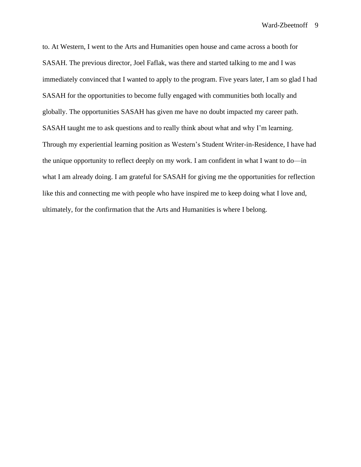to. At Western, I went to the Arts and Humanities open house and came across a booth for SASAH. The previous director, Joel Faflak, was there and started talking to me and I was immediately convinced that I wanted to apply to the program. Five years later, I am so glad I had SASAH for the opportunities to become fully engaged with communities both locally and globally. The opportunities SASAH has given me have no doubt impacted my career path. SASAH taught me to ask questions and to really think about what and why I'm learning. Through my experiential learning position as Western's Student Writer-in-Residence, I have had the unique opportunity to reflect deeply on my work. I am confident in what I want to do—in what I am already doing. I am grateful for SASAH for giving me the opportunities for reflection like this and connecting me with people who have inspired me to keep doing what I love and, ultimately, for the confirmation that the Arts and Humanities is where I belong.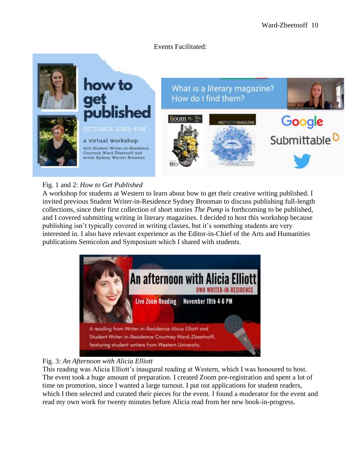### Events Facilitated:



# Fig. 1 and 2: *How to Get Published*

A workshop for students at Western to learn about how to get their creative writing published. I invited previous Student Writer-in-Residence Sydney Brooman to discuss publishing full-length collections, since their first collection of short stories *The Pump* is forthcoming to be published, and I covered submitting writing in literary magazines. I decided to host this workshop because publishing isn't typically covered in writing classes, but it's something students are very interested in. I also have relevant experience as the Editor-in-Chief of the Arts and Humanities publications Semicolon and Symposium which I shared with students.



# Fig. 3: *An Afternoon with Alicia Elliott*

This reading was Alicia Elliott's inaugural reading at Western, which I was honoured to host. The event took a huge amount of preparation. I created Zoom pre-registration and spent a lot of time on promotion, since I wanted a large turnout. I put out applications for student readers, which I then selected and curated their pieces for the event. I found a moderator for the event and read my own work for twenty minutes before Alicia read from her new book-in-progress.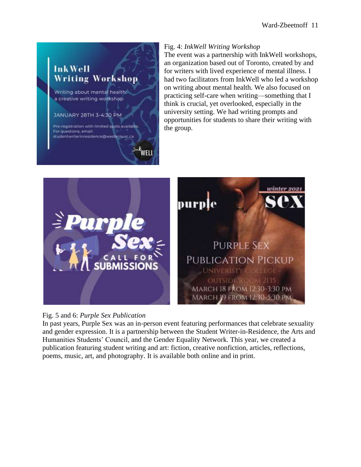

### Fig. 4: *InkWell Writing Workshop*

The event was a partnership with InkWell workshops, an organization based out of Toronto, created by and for writers with lived experience of mental illness. I had two facilitators from InkWell who led a workshop on writing about mental health. We also focused on practicing self-care when writing—something that I think is crucial, yet overlooked, especially in the university setting. We had writing prompts and opportunities for students to share their writing with the group.





In past years, Purple Sex was an in-person event featuring performances that celebrate sexuality and gender expression. It is a partnership between the Student Writer-in-Residence, the Arts and Humanities Students' Council, and the Gender Equality Network. This year, we created a publication featuring student writing and art: fiction, creative nonfiction, articles, reflections, poems, music, art, and photography. It is available both online and in print.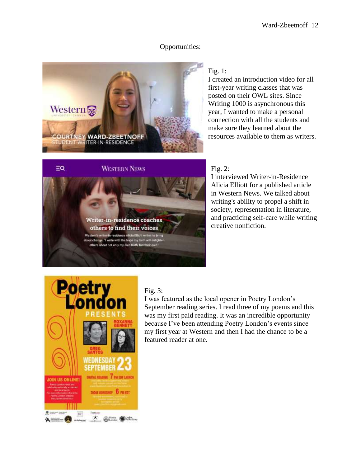# Opportunities:



Writer-in-residence coaches others to find their voices

I write with the hi thers about not only my own tru

in-residence Alicia Elliott writes to bring

# **WESTERN NEWS**

# Fig. 1:

I created an introduction video for all first-year writing classes that was posted on their OWL sites. Since Writing 1000 is asynchronous this year, I wanted to make a personal connection with all the students and make sure they learned about the resources available to them as writers.

### Fig. 2:

I interviewed Writer-in-Residence Alicia Elliott for a published article in Western News. We talked about writing's ability to propel a shift in society, representation in literature, and practicing self-care while writing creative nonfiction.



 $\equiv Q$ 

# Fig. 3:

I was featured as the local opener in Poetry London's September reading series. I read three of my poems and this was my first paid reading. It was an incredible opportunity because I've been attending Poetry London's events since my first year at Western and then I had the chance to be a featured reader at one.